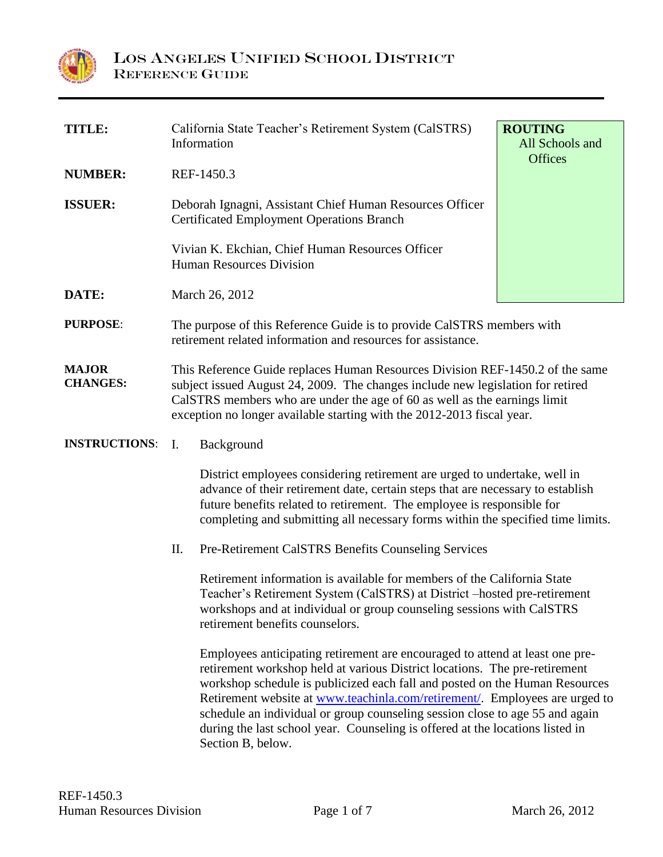

| <b>TITLE:</b>                   | California State Teacher's Retirement System (CalSTRS)<br>Information                                                                                                                                                                                                                                                   |                                                                                                                                                                                                                                                                                                                                                                                                                                                                                                                | <b>ROUTING</b><br>All Schools and<br><b>Offices</b> |
|---------------------------------|-------------------------------------------------------------------------------------------------------------------------------------------------------------------------------------------------------------------------------------------------------------------------------------------------------------------------|----------------------------------------------------------------------------------------------------------------------------------------------------------------------------------------------------------------------------------------------------------------------------------------------------------------------------------------------------------------------------------------------------------------------------------------------------------------------------------------------------------------|-----------------------------------------------------|
| <b>NUMBER:</b>                  | REF-1450.3                                                                                                                                                                                                                                                                                                              |                                                                                                                                                                                                                                                                                                                                                                                                                                                                                                                |                                                     |
| <b>ISSUER:</b>                  |                                                                                                                                                                                                                                                                                                                         | Deborah Ignagni, Assistant Chief Human Resources Officer<br><b>Certificated Employment Operations Branch</b>                                                                                                                                                                                                                                                                                                                                                                                                   |                                                     |
|                                 |                                                                                                                                                                                                                                                                                                                         | Vivian K. Ekchian, Chief Human Resources Officer<br><b>Human Resources Division</b>                                                                                                                                                                                                                                                                                                                                                                                                                            |                                                     |
| DATE:                           | March 26, 2012                                                                                                                                                                                                                                                                                                          |                                                                                                                                                                                                                                                                                                                                                                                                                                                                                                                |                                                     |
| <b>PURPOSE:</b>                 | The purpose of this Reference Guide is to provide CalSTRS members with<br>retirement related information and resources for assistance.                                                                                                                                                                                  |                                                                                                                                                                                                                                                                                                                                                                                                                                                                                                                |                                                     |
| <b>MAJOR</b><br><b>CHANGES:</b> | This Reference Guide replaces Human Resources Division REF-1450.2 of the same<br>subject issued August 24, 2009. The changes include new legislation for retired<br>CalSTRS members who are under the age of 60 as well as the earnings limit<br>exception no longer available starting with the 2012-2013 fiscal year. |                                                                                                                                                                                                                                                                                                                                                                                                                                                                                                                |                                                     |
| <b>INSTRUCTIONS:</b>            | $\mathbf{I}$ .                                                                                                                                                                                                                                                                                                          | Background                                                                                                                                                                                                                                                                                                                                                                                                                                                                                                     |                                                     |
|                                 |                                                                                                                                                                                                                                                                                                                         | District employees considering retirement are urged to undertake, well in<br>advance of their retirement date, certain steps that are necessary to establish<br>future benefits related to retirement. The employee is responsible for<br>completing and submitting all necessary forms within the specified time limits.                                                                                                                                                                                      |                                                     |
|                                 | П.                                                                                                                                                                                                                                                                                                                      | Pre-Retirement CalSTRS Benefits Counseling Services                                                                                                                                                                                                                                                                                                                                                                                                                                                            |                                                     |
|                                 |                                                                                                                                                                                                                                                                                                                         | Retirement information is available for members of the California State<br>Teacher's Retirement System (CalSTRS) at District – hosted pre-retirement<br>workshops and at individual or group counseling sessions with CalSTRS<br>retirement benefits counselors.                                                                                                                                                                                                                                               |                                                     |
|                                 |                                                                                                                                                                                                                                                                                                                         | Employees anticipating retirement are encouraged to attend at least one pre-<br>retirement workshop held at various District locations. The pre-retirement<br>workshop schedule is publicized each fall and posted on the Human Resources<br>Retirement website at www.teachinla.com/retirement/. Employees are urged to<br>schedule an individual or group counseling session close to age 55 and again<br>during the last school year. Counseling is offered at the locations listed in<br>Section B, below. |                                                     |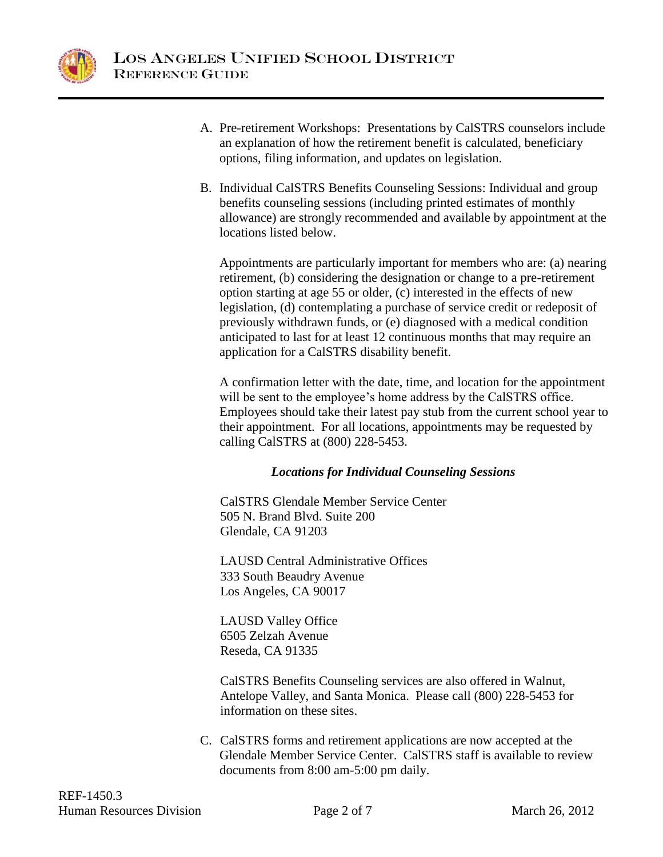

- A. Pre-retirement Workshops: Presentations by CalSTRS counselors include an explanation of how the retirement benefit is calculated, beneficiary options, filing information, and updates on legislation.
- B. Individual CalSTRS Benefits Counseling Sessions: Individual and group benefits counseling sessions (including printed estimates of monthly allowance) are strongly recommended and available by appointment at the locations listed below.

Appointments are particularly important for members who are: (a) nearing retirement, (b) considering the designation or change to a pre-retirement option starting at age 55 or older, (c) interested in the effects of new legislation, (d) contemplating a purchase of service credit or redeposit of previously withdrawn funds, or (e) diagnosed with a medical condition anticipated to last for at least 12 continuous months that may require an application for a CalSTRS disability benefit.

A confirmation letter with the date, time, and location for the appointment will be sent to the employee's home address by the CalSTRS office. Employees should take their latest pay stub from the current school year to their appointment. For all locations, appointments may be requested by calling CalSTRS at (800) 228-5453.

## *Locations for Individual Counseling Sessions*

CalSTRS Glendale Member Service Center 505 N. Brand Blvd. Suite 200 Glendale, CA 91203

LAUSD Central Administrative Offices 333 South Beaudry Avenue Los Angeles, CA 90017

LAUSD Valley Office 6505 Zelzah Avenue Reseda, CA 91335

CalSTRS Benefits Counseling services are also offered in Walnut, Antelope Valley, and Santa Monica. Please call (800) 228-5453 for information on these sites.

C. CalSTRS forms and retirement applications are now accepted at the Glendale Member Service Center. CalSTRS staff is available to review documents from 8:00 am-5:00 pm daily.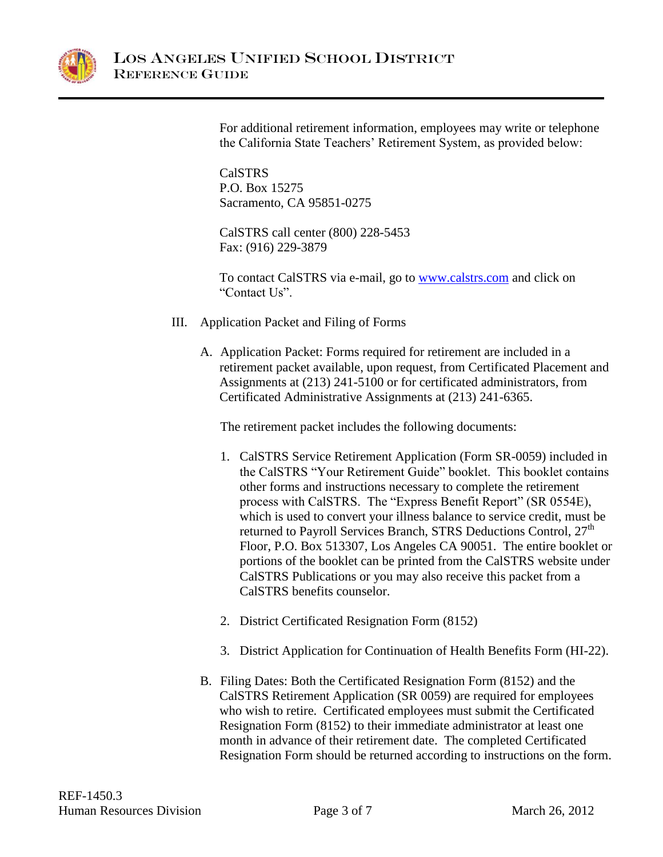

For additional retirement information, employees may write or telephone the California State Teachers' Retirement System, as provided below:

CalSTRS P.O. Box 15275 Sacramento, CA 95851-0275

CalSTRS call center (800) 228-5453 Fax: (916) 229-3879

To contact CalSTRS via e-mail, go to [www.calstrs.com](http://www.calstrs.com/) and click on "Contact Us".

- III. Application Packet and Filing of Forms
	- A. Application Packet: Forms required for retirement are included in a retirement packet available, upon request, from Certificated Placement and Assignments at (213) 241-5100 or for certificated administrators, from Certificated Administrative Assignments at (213) 241-6365.

The retirement packet includes the following documents:

- 1. CalSTRS Service Retirement Application (Form SR-0059) included in the CalSTRS "Your Retirement Guide" booklet. This booklet contains other forms and instructions necessary to complete the retirement process with CalSTRS. The "Express Benefit Report" (SR 0554E), which is used to convert your illness balance to service credit, must be returned to Payroll Services Branch, STRS Deductions Control, 27<sup>th</sup> Floor, P.O. Box 513307, Los Angeles CA 90051. The entire booklet or portions of the booklet can be printed from the CalSTRS website under CalSTRS Publications or you may also receive this packet from a CalSTRS benefits counselor.
- 2. District Certificated Resignation Form (8152)
- 3. District Application for Continuation of Health Benefits Form (HI-22).
- B. Filing Dates: Both the Certificated Resignation Form (8152) and the CalSTRS Retirement Application (SR 0059) are required for employees who wish to retire. Certificated employees must submit the Certificated Resignation Form (8152) to their immediate administrator at least one month in advance of their retirement date. The completed Certificated Resignation Form should be returned according to instructions on the form.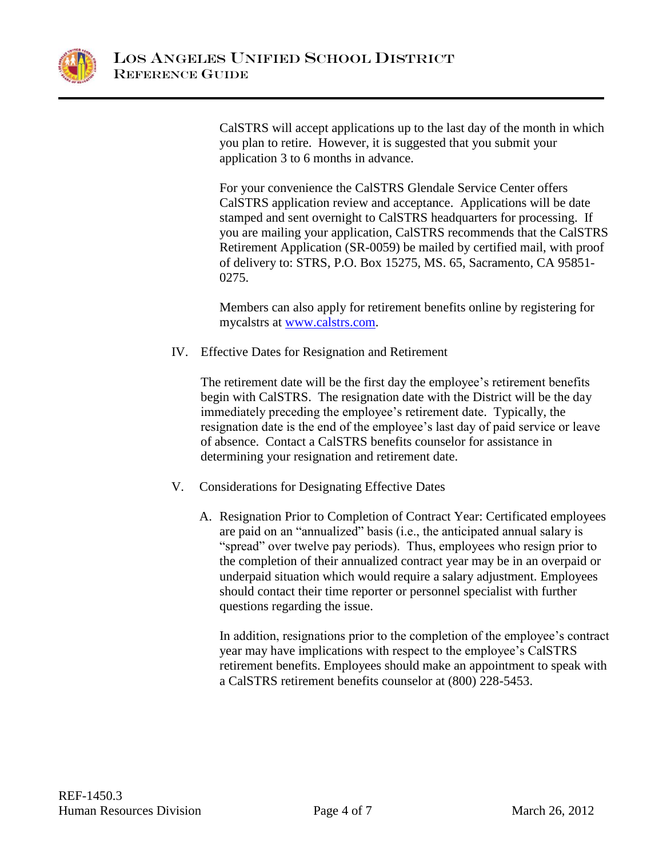

CalSTRS will accept applications up to the last day of the month in which you plan to retire. However, it is suggested that you submit your application 3 to 6 months in advance.

For your convenience the CalSTRS Glendale Service Center offers CalSTRS application review and acceptance. Applications will be date stamped and sent overnight to CalSTRS headquarters for processing. If you are mailing your application, CalSTRS recommends that the CalSTRS Retirement Application (SR-0059) be mailed by certified mail, with proof of delivery to: STRS, P.O. Box 15275, MS. 65, Sacramento, CA 95851- 0275.

Members can also apply for retirement benefits online by registering for mycalstrs at [www.calstrs.com.](http://www.calstrs.com/)

IV. Effective Dates for Resignation and Retirement

The retirement date will be the first day the employee's retirement benefits begin with CalSTRS. The resignation date with the District will be the day immediately preceding the employee's retirement date. Typically, the resignation date is the end of the employee's last day of paid service or leave of absence. Contact a CalSTRS benefits counselor for assistance in determining your resignation and retirement date.

- V. Considerations for Designating Effective Dates
	- A. Resignation Prior to Completion of Contract Year: Certificated employees are paid on an "annualized" basis (i.e., the anticipated annual salary is "spread" over twelve pay periods). Thus, employees who resign prior to the completion of their annualized contract year may be in an overpaid or underpaid situation which would require a salary adjustment. Employees should contact their time reporter or personnel specialist with further questions regarding the issue.

In addition, resignations prior to the completion of the employee's contract year may have implications with respect to the employee's CalSTRS retirement benefits. Employees should make an appointment to speak with a CalSTRS retirement benefits counselor at (800) 228-5453.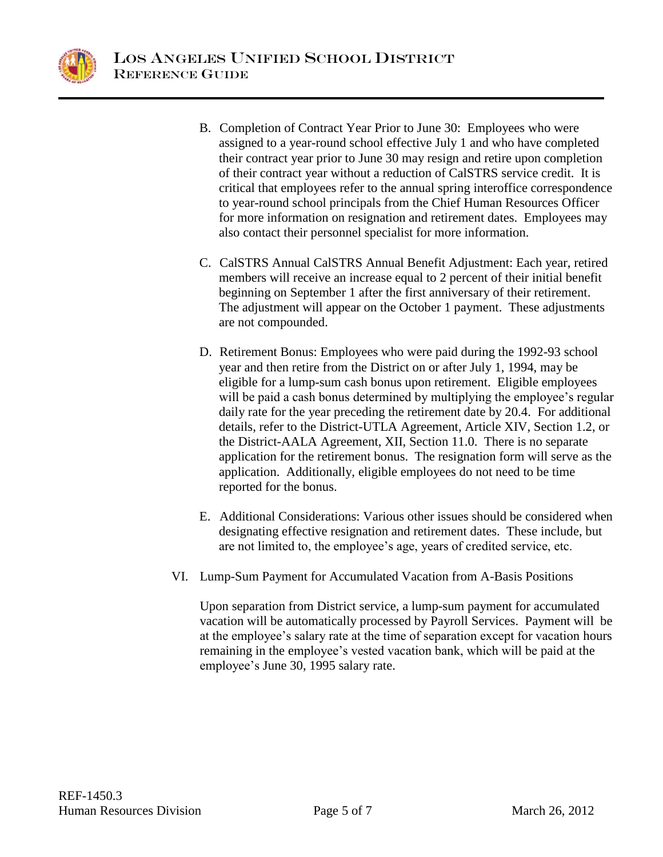

- B. Completion of Contract Year Prior to June 30: Employees who were assigned to a year-round school effective July 1 and who have completed their contract year prior to June 30 may resign and retire upon completion of their contract year without a reduction of CalSTRS service credit. It is critical that employees refer to the annual spring interoffice correspondence to year-round school principals from the Chief Human Resources Officer for more information on resignation and retirement dates. Employees may also contact their personnel specialist for more information.
- C. CalSTRS Annual CalSTRS Annual Benefit Adjustment: Each year, retired members will receive an increase equal to 2 percent of their initial benefit beginning on September 1 after the first anniversary of their retirement. The adjustment will appear on the October 1 payment. These adjustments are not compounded.
- D. Retirement Bonus: Employees who were paid during the 1992-93 school year and then retire from the District on or after July 1, 1994, may be eligible for a lump-sum cash bonus upon retirement. Eligible employees will be paid a cash bonus determined by multiplying the employee's regular daily rate for the year preceding the retirement date by 20.4. For additional details, refer to the District-UTLA Agreement, Article XIV, Section 1.2, or the District-AALA Agreement, XII, Section 11.0. There is no separate application for the retirement bonus. The resignation form will serve as the application. Additionally, eligible employees do not need to be time reported for the bonus.
- E. Additional Considerations: Various other issues should be considered when designating effective resignation and retirement dates. These include, but are not limited to, the employee's age, years of credited service, etc.
- VI. Lump-Sum Payment for Accumulated Vacation from A-Basis Positions

Upon separation from District service, a lump-sum payment for accumulated vacation will be automatically processed by Payroll Services. Payment will be at the employee's salary rate at the time of separation except for vacation hours remaining in the employee's vested vacation bank, which will be paid at the employee's June 30, 1995 salary rate.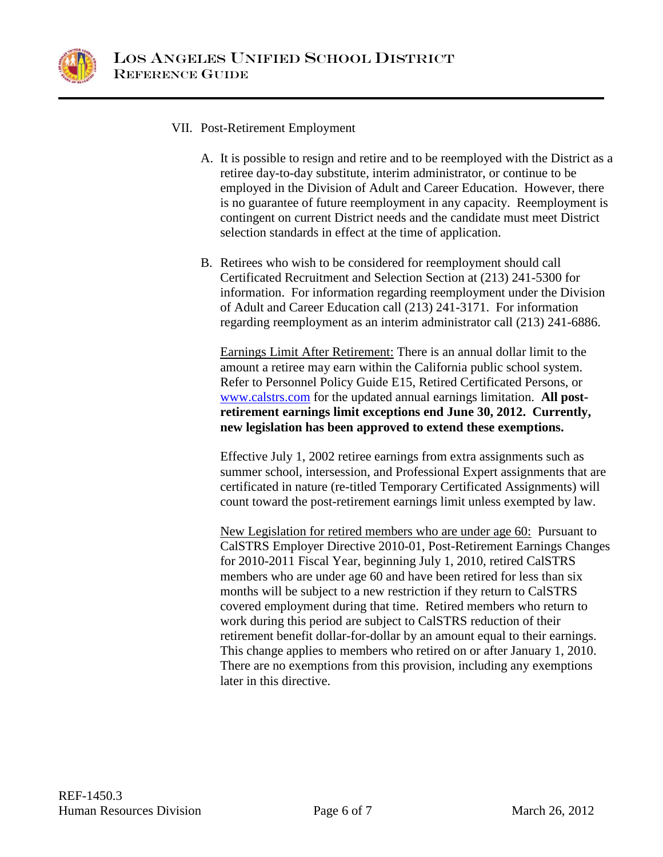

## VII. Post-Retirement Employment

- A. It is possible to resign and retire and to be reemployed with the District as a retiree day-to-day substitute, interim administrator, or continue to be employed in the Division of Adult and Career Education. However, there is no guarantee of future reemployment in any capacity. Reemployment is contingent on current District needs and the candidate must meet District selection standards in effect at the time of application.
- B. Retirees who wish to be considered for reemployment should call Certificated Recruitment and Selection Section at (213) 241-5300 for information. For information regarding reemployment under the Division of Adult and Career Education call (213) 241-3171. For information regarding reemployment as an interim administrator call (213) 241-6886.

Earnings Limit After Retirement: There is an annual dollar limit to the amount a retiree may earn within the California public school system. Refer to Personnel Policy Guide E15, Retired Certificated Persons, or [www.calstrs.com](http://www.calstrs.com/) for the updated annual earnings limitation. **All postretirement earnings limit exceptions end June 30, 2012. Currently, new legislation has been approved to extend these exemptions.**

Effective July 1, 2002 retiree earnings from extra assignments such as summer school, intersession, and Professional Expert assignments that are certificated in nature (re-titled Temporary Certificated Assignments) will count toward the post-retirement earnings limit unless exempted by law.

New Legislation for retired members who are under age 60: Pursuant to CalSTRS Employer Directive 2010-01, Post-Retirement Earnings Changes for 2010-2011 Fiscal Year, beginning July 1, 2010, retired CalSTRS members who are under age 60 and have been retired for less than six months will be subject to a new restriction if they return to CalSTRS covered employment during that time. Retired members who return to work during this period are subject to CalSTRS reduction of their retirement benefit dollar-for-dollar by an amount equal to their earnings. This change applies to members who retired on or after January 1, 2010. There are no exemptions from this provision, including any exemptions later in this directive.